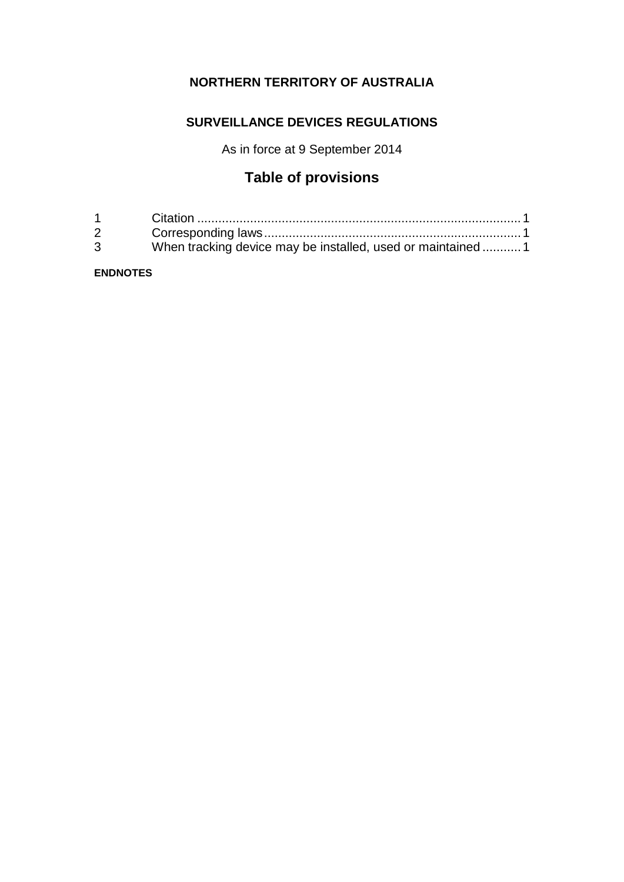# **NORTHERN TERRITORY OF AUSTRALIA**

## **SURVEILLANCE DEVICES REGULATIONS**

As in force at 9 September 2014

# **Table of provisions**

| $1 \quad \blacksquare$ |                                                             |
|------------------------|-------------------------------------------------------------|
| $2 \rightarrow$        |                                                             |
| $\mathbf{3}$           | When tracking device may be installed, used or maintained 1 |

### **ENDNOTES**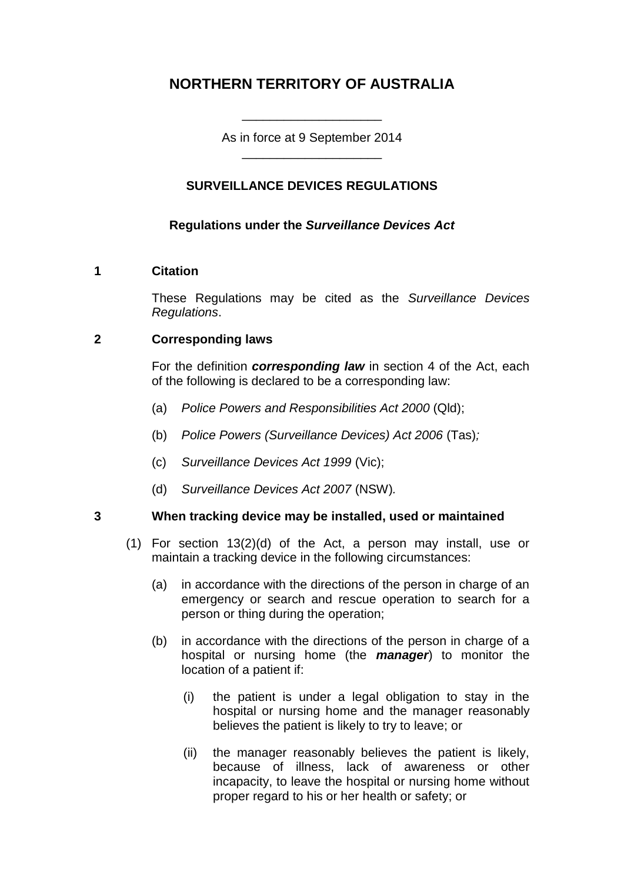# **NORTHERN TERRITORY OF AUSTRALIA**

As in force at 9 September 2014 \_\_\_\_\_\_\_\_\_\_\_\_\_\_\_\_\_\_\_\_

\_\_\_\_\_\_\_\_\_\_\_\_\_\_\_\_\_\_\_\_

## **SURVEILLANCE DEVICES REGULATIONS**

## **Regulations under the** *Surveillance Devices Act*

#### **1 Citation**

These Regulations may be cited as the *Surveillance Devices Regulations*.

## **2 Corresponding laws**

For the definition *corresponding law* in section 4 of the Act, each of the following is declared to be a corresponding law:

- (a) *Police Powers and Responsibilities Act 2000* (Qld);
- (b) *Police Powers (Surveillance Devices) Act 2006* (Tas)*;*
- (c) *Surveillance Devices Act 1999* (Vic);
- (d) *Surveillance Devices Act 2007* (NSW)*.*

#### **3 When tracking device may be installed, used or maintained**

- (1) For section 13(2)(d) of the Act, a person may install, use or maintain a tracking device in the following circumstances:
	- (a) in accordance with the directions of the person in charge of an emergency or search and rescue operation to search for a person or thing during the operation;
	- (b) in accordance with the directions of the person in charge of a hospital or nursing home (the *manager*) to monitor the location of a patient if:
		- (i) the patient is under a legal obligation to stay in the hospital or nursing home and the manager reasonably believes the patient is likely to try to leave; or
		- (ii) the manager reasonably believes the patient is likely, because of illness, lack of awareness or other incapacity, to leave the hospital or nursing home without proper regard to his or her health or safety; or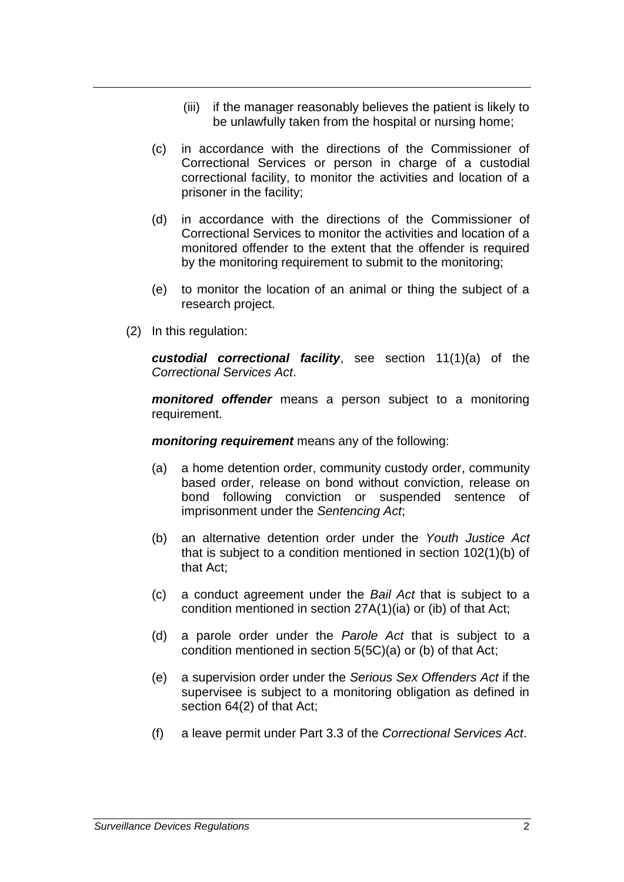- (iii) if the manager reasonably believes the patient is likely to be unlawfully taken from the hospital or nursing home;
- (c) in accordance with the directions of the Commissioner of Correctional Services or person in charge of a custodial correctional facility, to monitor the activities and location of a prisoner in the facility;
- (d) in accordance with the directions of the Commissioner of Correctional Services to monitor the activities and location of a monitored offender to the extent that the offender is required by the monitoring requirement to submit to the monitoring;
- (e) to monitor the location of an animal or thing the subject of a research project.
- (2) In this regulation:

*custodial correctional facility*, see section 11(1)(a) of the *Correctional Services Act*.

*monitored offender* means a person subject to a monitoring requirement.

*monitoring requirement* means any of the following:

- (a) a home detention order, community custody order, community based order, release on bond without conviction, release on bond following conviction or suspended sentence of imprisonment under the *Sentencing Act*;
- (b) an alternative detention order under the *Youth Justice Act*  that is subject to a condition mentioned in section 102(1)(b) of that Act;
- (c) a conduct agreement under the *Bail Act* that is subject to a condition mentioned in section 27A(1)(ia) or (ib) of that Act;
- (d) a parole order under the *Parole Act* that is subject to a condition mentioned in section 5(5C)(a) or (b) of that Act;
- (e) a supervision order under the *Serious Sex Offenders Act* if the supervisee is subject to a monitoring obligation as defined in section 64(2) of that Act;
- (f) a leave permit under Part 3.3 of the *Correctional Services Act*.